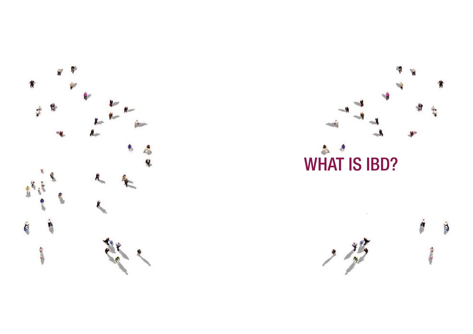



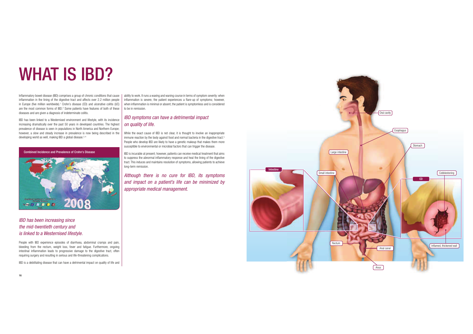# WHAT IS IBD?

Inflammatory bowel disease (IBD) comprises a group of chronic conditions that cause | ability to work. It runs a waxing and waning course in terms of symptom severity: when inflammation in the lining of the digestive tract and affects over 2.2 million people in Europe (five million worldwide).<sup>1</sup> Crohn's disease (CD) and ulcerative colitis (UC) are the most common forms of IBD.<sup>2</sup> Some patients have features of both of these diseases and are given a diagnosis of indeterminate colitis.

IBD has been linked to a Westernised environment and lifestyle, with its incidence increasing dramatically over the past 50 years in developed countries. The highest prevalence of disease is seen in populations in North America and Northern Europe; however, a slow and steady increase in prevalence is now being described in the developing world as well, making IBD a global disease.<sup>3,4</sup>

Combined Incidence and Prevalence of Crohn's Disease



IBD has been increasing since the mid-twentieth century and is linked to a Westernised lifestyle.

People with IBD experience episodes of diarrhoea, abdominal cramps and pain, bleeding from the rectum, weight loss, fever and fatigue. Furthermore, ongoing intestinal inflammation leads to progressive damage to the digestive tract, often requiring surgery and resulting in serious and life-threatening complications.

IBD is a debilitating disease that can have a detrimental impact on quality of life and

 inflammation is severe, the patient experiences a flare-up of symptoms; however, when inflammation is minimal or absent, the patient is symptomless and is considered to be in remission.

IBD symptoms can have a detrimental impact on quality of life.

While the exact cause of IBD is not clear, it is thought to involve an inappropriate immune reaction by the body against food and normal bacteria in the digestive tract.<sup>5</sup> People who develop IBD are likely to have a genetic makeup that makes them more susceptible to environmental or microbial factors that can trigger the disease.

IBD is incurable at present; however, patients can receive medical treatment that aims to suppress the abnormal inflammatory response and heal the lining of the digestive tract. This induces and maintains resolution of symptoms, allowing patients to achieve long-term remission.

Although there is no cure for IBD, its symptoms and impact on a patient's life can be minimized by appropriate medical management.

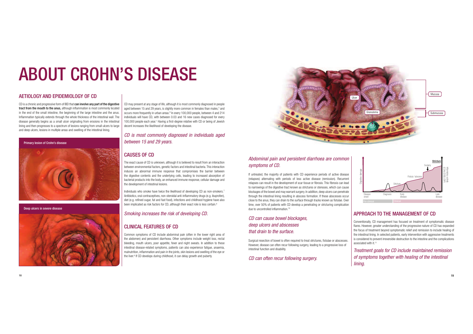# ABOUT CROHN'S DISEASE

#### AETIOLOGY AND EPIDEMIOLOGY OF CD

CD is a chronic and progressive form of IBD that can involve any part of the digestive tract from the mouth to the anus, although inflammation is most commonly located in the end of the small intestine, the beginning of the large intestine and the anus. Inflammation typically extends through the whole thickness of the intestinal wall. The disease generally begins as a small ulcer originating from erosions in the intestinal lining and then progresses to a spectrum of lesions ranging from small ulcers to large and deep ulcers, lesions in multiple areas and swelling of the intestinal lining.

Primary lesion of Crohn's disease



Deep ulcers in severe disease



 CD may present at any stage of life, although it is most commonly diagnosed in people aged between 15 and 29 years, is slightly more common in females than males,<sup>3</sup> and occurs more frequently in urban areas.<sup>6</sup> In every 100,000 people, between 4 and 214 individuals will have CD, with between 0.03 and 16 new cases diagnosed for every 100,000 people each year.<sup>1</sup> Having a first-degree relative with CD or being of Jewish decent increases the likelihood of developing the disease.

CD is most commonly diagnosed in individuals aged between 15 and 29 years.

### CAUSES OF CD

 The exact cause of CD is unknown, although it is believed to result from an interaction between environmental factors, genetic factors and intestinal bacteria. This interaction induces an abnormal immune response that compromises the barrier between the digestive contents and the underlying cells, leading to increased absorption of bacterial products into the body, an enhanced immune response, cellular damage and the development of intestinal lesions.

Individuals who smoke have twice the likelihood of developing CD as non-smokers.<sup>7</sup> Antibiotics, oral contraceptives, non-steroidal anti-inflammatory drugs (e.g. ibuprofen), diet (e.g. refined sugar, fat and fast food), infections and childhood hygiene have also been implicated as risk factors for CD, although their exact role is less certain.<sup>8</sup>

#### Smoking increases the risk of developing CD.

### CLINICAL FEATURES OF CD

 Common symptoms of CD include abdominal pain (often in the lower right area of the abdomen) and persistent diarrhoea. Other symptoms include weight loss, rectal bleeding, mouth ulcers, poor appetite, fever and night sweats. In addition to these intestinal disease-related symptoms, patients can also experience fatigue, anaemia, malnutrition, inflammation and pain in the joints, skin lesions and swelling of the eye or the liver.<sup>9</sup> If CD develops during childhood, it can delay growth and puberty.



### Abdominal pain and persistent diarrhoea are common symptoms of CD.

If untreated, the majority of patients with CD experience periods of active disease (relapses) alternating with periods of less active disease (remission). Recurrent relapses can result in the development of scar tissue or fibrosis. This fibrosis can lead to narrowings of the digestive tract known as strictures or stenoses, which can cause blockages of the bowel and may warrant surgery. In addition, deep ulcers can penetrate through the intestinal lining resulting in abscess formation. If these abscesses occur close to the anus, they can drain to the surface through tracks known as fistulae. Over time, over 50% of patients with CD develop a penetrating or stricturing complication due to uncontrolled inflammation.<sup>10</sup>

CD can cause bowel blockages, deep ulcers and abscesses that drain to the surface.

Surgical resection of bowel is often required to treat strictures, fistulae or abscesses. However, disease can often recur following surgery, leading to a progressive loss of intestinal function and disability.

CD can often recur following surgery.



### APPROACH TO THE MANAGEMENT OF CD

Conventionally, CD management has focused on treatment of symptomatic disease flares. However, greater understanding of the progressive nature of CD has expanded the focus of treatment beyond symptomatic relief and remission to include healing of the intestinal lining. In selected patients, early intervention with aggressive treatments is considered to prevent irreversible destruction to the intestine and the complications associated with it.<sup>11</sup>

Treatment goals for CD include maintained remission of symptoms together with healing of the intestinal lining.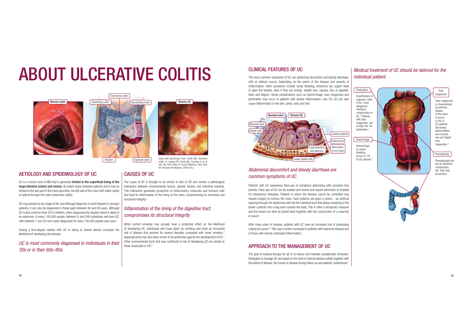# ABOUT ULCERATIVE COLITIS





AETIOLOGY AND EPIDEMIOLOGY OF UC

UC is a chronic form of IBD that is generally limited to the superficial lining of the large intestine (colon) and rectum. Its extent varies between patients and it may be limited to the last part of the colon (proctitis), the left side of the colon (left-sided colitis) or extend through the colon (extensive-colitis).

UC may present at any stage of life, and although diagnosis is most frequent in younger patients, it can also be diagnosed in those aged between 60 and 80 years. Although UC is less common than CD in children, when diagnosed the disease extent is likely to be extensive. In every 100,000 people, between 8 and 246 individuals will have UC, with between 1 and 20 new cases diagnosed for every 100,000 people each year.<sup>1</sup>

Having a first-degree relative with UC or being of Jewish decent increases the likelihood of developing the disease.

## UC is most commonly diagnosed in individuals in their 30s or in their 60s–80s.



Chronic UC

Sigmoid colon (Used with permission from: Smith MA. Ulcerative colitis. In: Usatine RP, Smith MA, Chumley H, et al, eds.The Color Atlas of Family Medicine. New York, NY: McGraw Hill Medical; 2009:275.)

#### CAUSES OF UC

The cause of UC is thought to be similar to that of CD and involve a pathological interaction between environmental factors, genetic factors and intestinal bacteria. This interaction generates production of inflammatory molecules and immune cells that lead to inflammation of the lining of the colon, compromising its structural and functional integrity.<sup>4</sup>

### Inflammation of the lining of the digestive tract compromises its structural integrity

While current smoking may actually have a protective effect on the likelihood of developing UC, individuals who have given up smoking also have an increased risk of disease that persists for several decades compared with never smokers.<sup>7</sup> Appendectomy has also been shown to be protective against the development of UC.<sup>2</sup> Other environmental facts that may contribute to risk of developing UC are similar to those implicated in CD.<sup>8</sup>

#### CLINICAL FEATURES OF UC

The most common symptoms of UC are abdominal discomfort and bloody diarrhoea, with or without mucus. Depending on the extent of the disease and severity of inflammation, other symptoms include rectal bleeding, tenesmus (an urgent need to open the bowels, even if they are empty), weight loss, nausea, loss of appetite, fever and fatigue.<sup>4</sup> Acute complications such as haemorrhage, toxic megacolon and perforation may occur in patients with severe inflammation. Like CD, UC can also cause inflammation in the skin, joints, eyes and liver.



### Abdominal discomfort and bloody diarrhoea are common symptoms of UC.

Patients with UC experience flare-ups of symptoms alternating with symptom-free periods. Flare-ups of UC can be sudden and severe and require admission to hospital for intravenous therapies. Patients in whom the disease cannot be controlled may require surgery to remove the colon. Such patients are given a stoma – an artificial opening through the abdominal wall into the intestinal tract that allows emptying of the bowel contents into a bag worn outside the body. This is often a temporary measure and the bowel can later be joined back together with the construction of a reservoir or pouch.

After many years of disease, patients with UC have an increased risk of developing colorectal cancer.<sup>12</sup> This risk is further increased in patients with extensive disease and in those with chronic untreated inflammation.

### APPROACH TO THE MANAGEMENT OF UC

The goal of medical therapy for UC is to induce and maintain symptomatic remission. Strategies to manage UC are based on the level of clinical disease activity together with the extent of disease, the course of disease during follow-up and patients' preferences.<sup>4</sup>

#### Medical treatment of UC should be tailored for the individual patient.





Toxic megacolon is characterized by extreme dilation of the colon.It occurs in 5% of UC patients. Electrolyte abnormalities and narcotic use can triggertoxic megacolon.<sup>3</sup> megacolon

Toxic

Pseudopolyps are Pseudopolyp

not an intestinal complication, but they may be present.